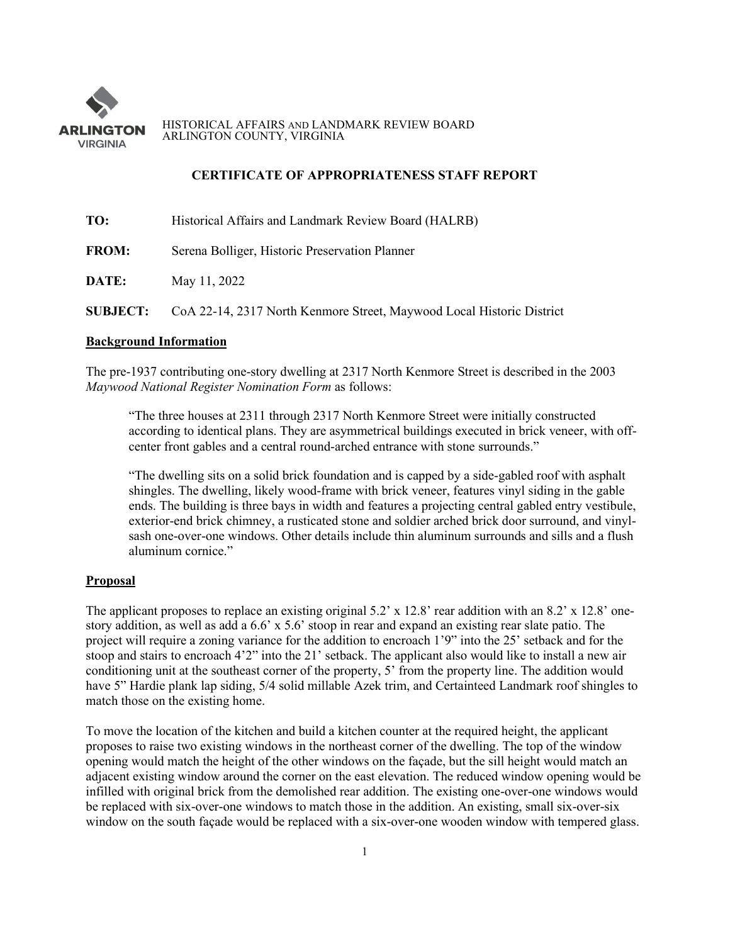

HISTORICAL AFFAIRS AND LANDMARK REVIEW BOARD ARLINGTON COUNTY, VIRGINIA

## **CERTIFICATE OF APPROPRIATENESS STAFF REPORT**

| TO:             | Historical Affairs and Landmark Review Board (HALRB)                  |
|-----------------|-----------------------------------------------------------------------|
| <b>FROM:</b>    | Serena Bolliger, Historic Preservation Planner                        |
| DATE:           | May 11, 2022                                                          |
| <b>SUBJECT:</b> | CoA 22-14, 2317 North Kenmore Street, Maywood Local Historic District |

### **Background Information**

The pre-1937 contributing one-story dwelling at 2317 North Kenmore Street is described in the 2003 *Maywood National Register Nomination Form* as follows:

"The three houses at 2311 through 2317 North Kenmore Street were initially constructed according to identical plans. They are asymmetrical buildings executed in brick veneer, with offcenter front gables and a central round-arched entrance with stone surrounds."

"The dwelling sits on a solid brick foundation and is capped by a side-gabled roof with asphalt shingles. The dwelling, likely wood-frame with brick veneer, features vinyl siding in the gable ends. The building is three bays in width and features a projecting central gabled entry vestibule, exterior-end brick chimney, a rusticated stone and soldier arched brick door surround, and vinylsash one-over-one windows. Other details include thin aluminum surrounds and sills and a flush aluminum cornice."

### **Proposal**

The applicant proposes to replace an existing original 5.2' x 12.8' rear addition with an 8.2' x 12.8' onestory addition, as well as add a 6.6' x 5.6' stoop in rear and expand an existing rear slate patio. The project will require a zoning variance for the addition to encroach 1'9" into the 25' setback and for the stoop and stairs to encroach 4'2" into the 21' setback. The applicant also would like to install a new air conditioning unit at the southeast corner of the property, 5' from the property line. The addition would have 5" Hardie plank lap siding, 5/4 solid millable Azek trim, and Certainteed Landmark roof shingles to match those on the existing home.

To move the location of the kitchen and build a kitchen counter at the required height, the applicant proposes to raise two existing windows in the northeast corner of the dwelling. The top of the window opening would match the height of the other windows on the façade, but the sill height would match an adjacent existing window around the corner on the east elevation. The reduced window opening would be infilled with original brick from the demolished rear addition. The existing one-over-one windows would be replaced with six-over-one windows to match those in the addition. An existing, small six-over-six window on the south facade would be replaced with a six-over-one wooden window with tempered glass.